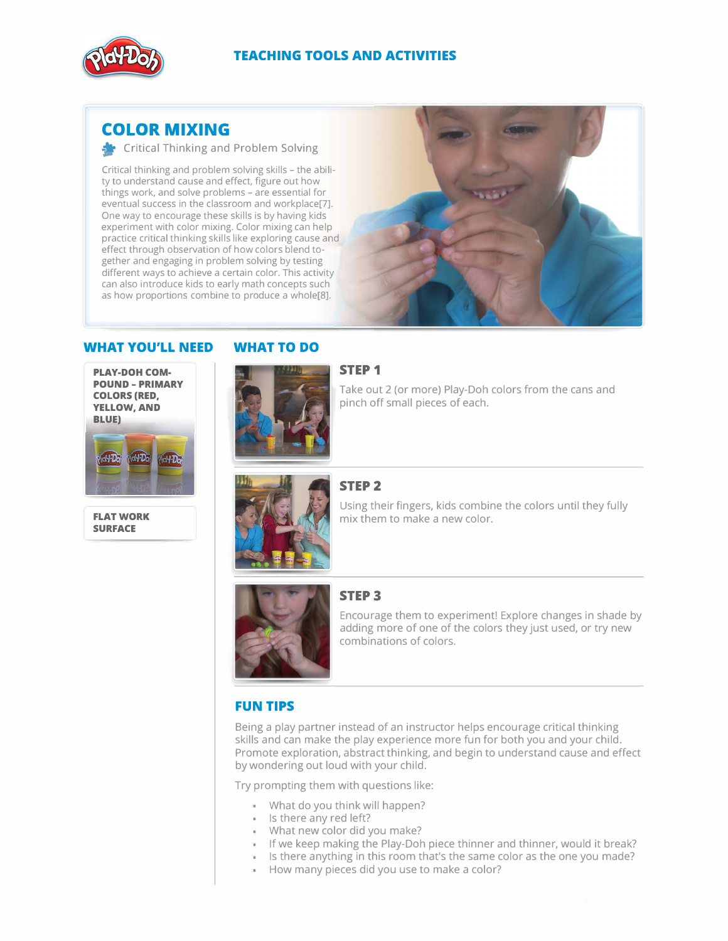

# **COLOR MIXING**

**E-** Critical Thinking and Problem Solving

Critical thinking and problem solving skills - the ability to understand cause and effect, figure out how things work, and solve problems - are essential for eventual success in the classroom and workplace[?]. One way to encourage these skills is by having kids experiment with color mixing. Color mixing can help practice critical thinking skills like exploring cause and effect through observation of how colors blend together and engaging in problem solving by testing different ways to achieve a certain color. This activity can also introduce kids to early math concepts such as how proportions combine to produce a whole[8].



## **WHAT YOU'LL NEED**

**PLAY-DOH COM· POUND - PRIMARY COLORS (RED, YELLOW,AND BLUE)** 



**FLAT WORK SURFACE** 



**WHAT TO DO** 

### **STEP 1**

Take out 2 (or more) Play-Doh colors from the cans and pinch off small pieces of each.



## **STEP2**

Using their fingers, kids combine the colors until they fully mix them to make a new color.



# **STEP3**

Encourage them to experiment! Explore changes in shade by adding more of one of the colors they just used, or try new combinations of colors.

# **FUN TIPS**

Being a play partner instead of an instructor helps encourage critical thinking skills and can make the play experience more fun for both you and your child. Promote exploration, abstract thinking, and begin to understand cause and effect by wondering out loud with your child.

Try prompting them with questions like:

- What do you think will happen?
- \* Is there any red left?
- What new color did you make?
- If we keep making the Play-Doh piece thinner and thinner, would it break?
- Is there anything in this room that's the same color as the one you made?
- How many pieces did you use to make a color?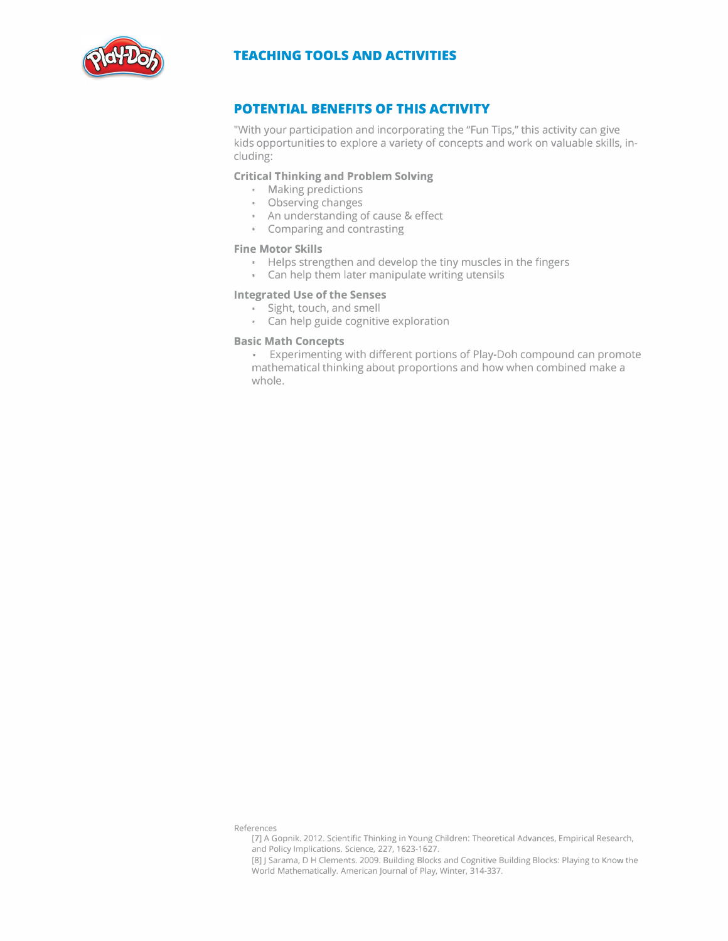

# **POTENTIAL BENEFITS OF THIS ACTIVITY**

"With your participation and incorporating the "Fun Tips," this activity can give kids opportunities to explore a variety of concepts and work on valuable skills, including:

### **Critical Thinking and Problem Solving**

- Making predictions
- Observing changes
- An understanding of cause & effect
- Comparing and contrasting

### **Fine Motor Skills**

- Helps strengthen and develop the tiny muscles in the fingers
- Can help them later manipulate writing utensils

### **Integrated Use of the Senses**

- Sight, touch, and smell
- Can help guide cognitive exploration

### **Basic Math Concepts**

Experimenting with different portions of Play-Doh compound can promote mathematical thinking about proportions and how when combined make a whole.

References

- [7] A Gopnik. 2012. Scientific Thinking in Young Children: Theoretical Advances, Empirical Research, and Policy Implications. Science, 227, 1623-1627.
- [8] J Sarama, D H Clements. 2009. Building Blocks and Cognitive Building Blocks: Playing to Know the World Mathematically. American Journal of Play, Winter, 314-337.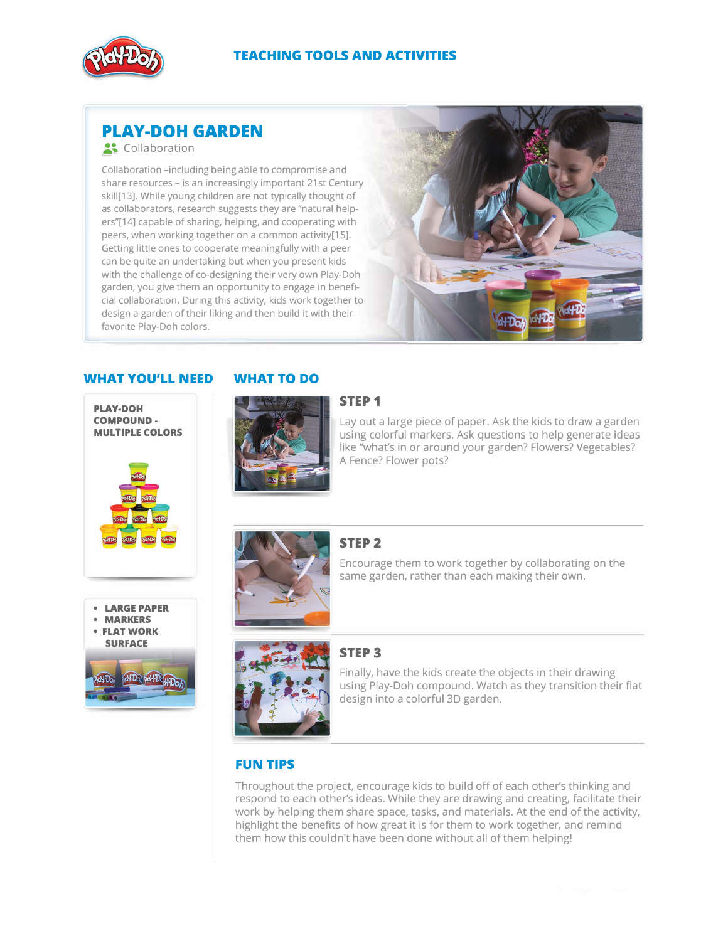

# **PLAY-DOH GARDEN**

### .Collaboration

Collaboration -including being able to compromise and share resources - is an increasingly important 21st Century skill[13). While young children are not typically thought of as collaborators, research suggests they are "natural helpers"[14] capable of sharing, helping, and cooperating with peers, when working together on a common activity[15). Getting little ones to cooperate meaningfully with a peer can be quite an undertaking but when you present kids with the challenge of co-designing their very own Play-Doh garden, you give them an opportunity to engage in beneficial collaboration. During this activity, kids work together to design a garden of their liking and then build it with their favorite Play-Doh colors.



# **WHAT YOU'LL NEED**







**WHAT TO DO** 

### **STEP 1**

Lay out a large piece of paper. Ask the kids to draw a garden using colorful markers. Ask questions to help generate ideas like "what's in or around your garden? Flowers? Vegetables? A Fence? Flower pots?



### **STEP2**

Encourage them to work together by collaborating on the same garden, rather than each making their own.







# **STEP3**

Finally, have the kids create the objects in their drawing using Play-Doh compound. Watch as they transition their flat design into a colorful 3D garden.

# **FUN TIPS**

Throughout the project, encourage kids to build off of each other's thinking and respond to each other's ideas. While they are drawing and creating, facilitate their work by helping them share space, tasks, and materials. At the end of the activity, highlight the benefits of how great it is for them to work together, and remind them how this couldn't have been done without all of them helping!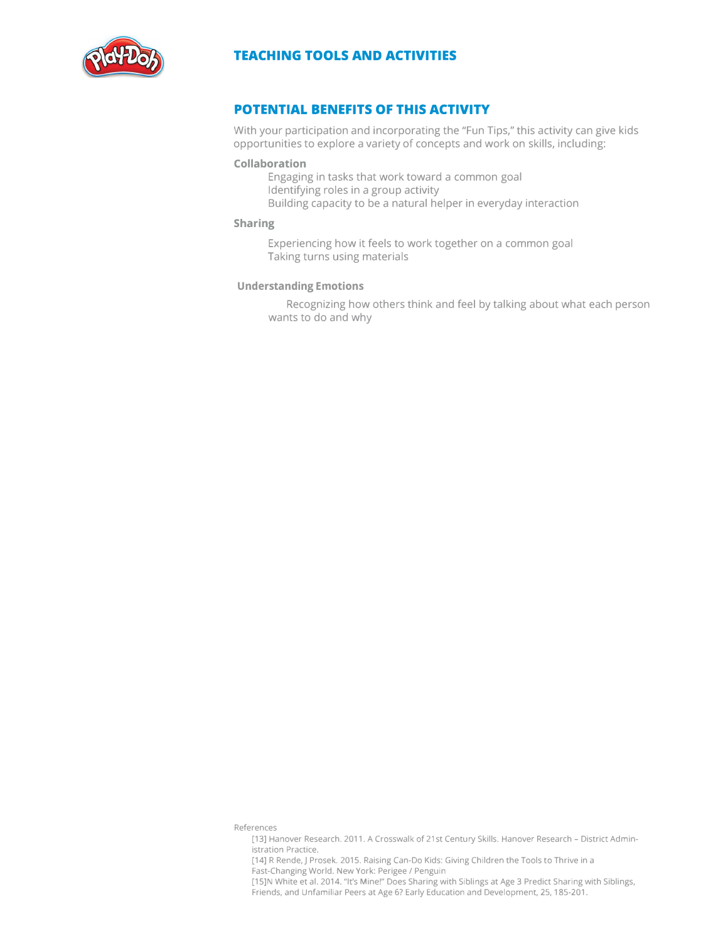

# **POTENTIAL BENEFITS OF THIS ACTIVITY**

With your participation and incorporating the "Fun Tips," this activity can give kids opportunities to explore a variety of concepts and work on skills, including:

### **Collaboration**

Engaging in tasks that work toward a common goal Identifying roles in a group activity Building capacity to be a natural helper in everyday interaction

### **Sharing**

Experiencing how it feels to work together on a common goal Taking turns using materials

### **Understanding Emotions**

Recognizing how others think and feel by talking about what each person wants to do and why

References

<sup>[13]</sup> Hanover Research. 2011. A Crosswalk of 21st Century Skills. Hanover Research - District Administration Practice.

<sup>[14]</sup> R Rende,J Prosek. 2015. Raising Can-Do Kids: Giving Children the Tools to Thrive in a Fast-Changing World. New York: Perigee *I* Penguin

<sup>[15]</sup>N White et al. 2014. "It's Mine!" Does Sharing with Siblings at Age 3 Predict Sharing with Siblings, Friends, and Unfamiliar Peers at Age 6? Early Education and Development, 25, 185-201.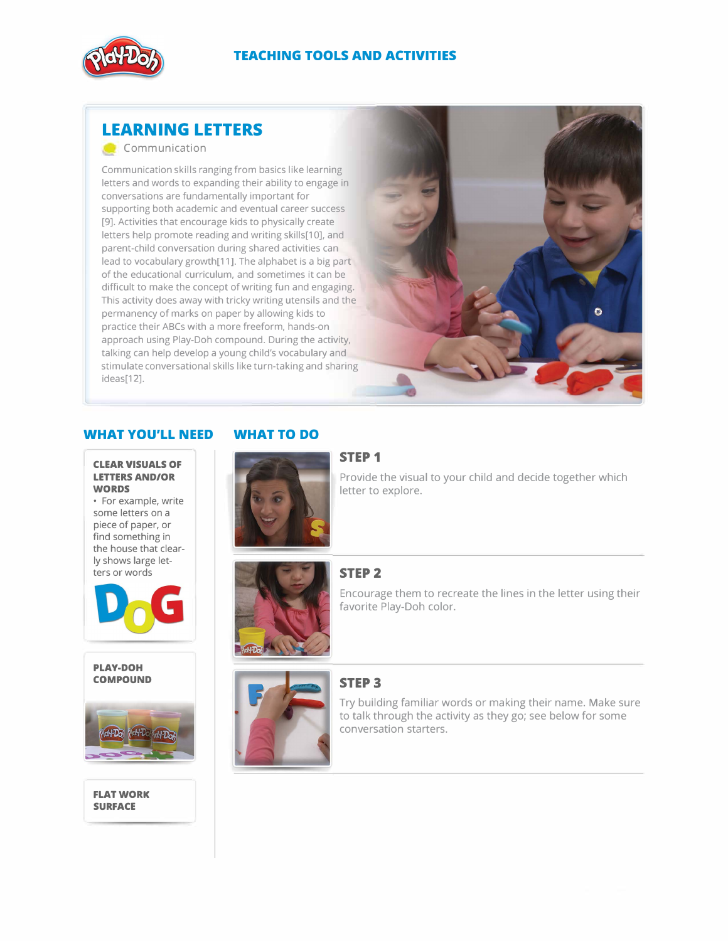

# **LEARNING LETTERS**

Communication

Communication skills ranging from basics like learning letters and words to expanding their ability to engage in conversations are fundamentally important for supporting both academic and eventual career success [9]. Activities that encourage kids to physically create letters help promote reading and writing skills[10]. and parent-child conversation during shared activities can lead to vocabulary growth[11]. The alphabet is a big part of the educational curriculum, and sometimes it can be difficult to make the concept of writing fun and engaging. This activity does away with tricky writing utensils and the permanency of marks on paper by allowing kids to practice their ABCs with a more freeform, hands-on approach using Play-Doh compound. During the activity, talking can help develop a young child's vocabulary and stimulate conversational skills like turn-taking and sharing ideas[12].



Provide the visual to your child and decide together which

## **WHAT YOU'LL NEED WHAT TO DO**

# **LETTERS AND/OR WORDS**

• For example, write some letters on a piece of paper, or find something in the house that clearly shows large letters or words



**PLAY-DOH COMPOUND** 



### **FLAT WORK SURFACE**





letter to explore.

# **STEP2**



# favorite Play-Doh color.

# **STEP3**



Try building familiar words or making their name. Make sure to talk through the activity as they go; see below for some conversation starters.

Encourage them to recreate the lines in the letter using their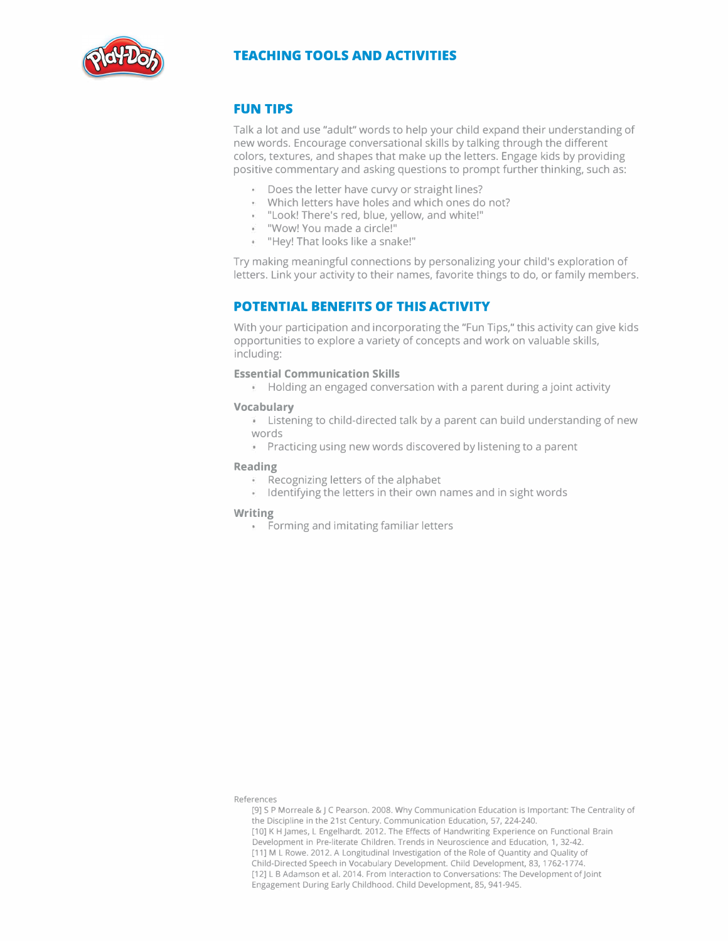

### **FUN TIPS**

Talk a lot and use "adult" words to help your child expand their understanding of new words. Encourage conversational skills by talking through the different colors, textures, and shapes that make up the letters. Engage kids by providing positive commentary and asking questions to prompt further thinking, such as:

- Does the letter have curvy or straight lines?
- Which letters have holes and which ones do not?
- "Look! There's red, blue, yellow, and white!"
- "Wow! You made a circle!"
- "Hey! That looks like a snake!"

Try making meaningful connections by personalizing your child's exploration of letters. Link your activity to their names, favorite things to do, or family members.

# **POTENTIAL BENEFITS OF THIS ACTIVITY**

With your participation and incorporating the "Fun Tips," this activity can give kids opportunities to explore a variety of concepts and work on valuable skills, including:

### **Essential Communication Skills**

 $\mathbf{H}$  Holding an engaged conversation with a parent during a joint activity

### **Vocabulary**

- **EXT** Listening to child-directed talk by a parent can build understanding of new words
- **Practicing using new words discovered by listening to a parent**

### **Reading**

- $\epsilon$  Recognizing letters of the alphabet
- $\blacksquare$  Identifying the letters in their own names and in sight words

### **Writing**

**EXEC 1.5** Forming and imitating familiar letters

References

[9] SP Morreale &JC Pearson. 2008. Why Communication Education is Important: The Centrality of the Discipline in the 21st Century. Communication Education, 57, 224-240. [10] K H James, L Engelhardt. 2012. The Effects of Handwriting Experience on Functional Brain Development in Pre-literate Children. Trends in Neuroscience and Education, 1, 32-42. [11] M L Rowe. 2012. A Longitudinal Investigation of the Role of Quantity and Quality of Child-Directed Speech in Vocabulary Development. Child Development, 83, 1762-1774. [12] L B Adamson et al. 2014. From Interaction to Conversations: The Development of Joint Engagement During Early Childhood. Child Development, 85, 941-945.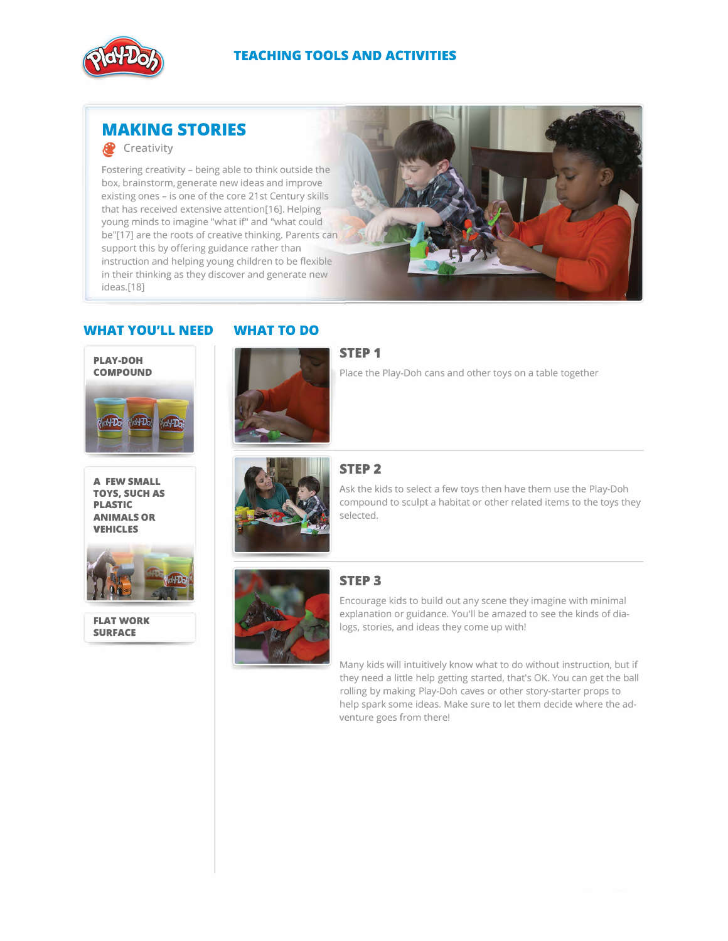

# **MAKING STORIES**

## **C** Creativity

Fostering creativity - being able to think outside the box, brainstorm, generate new ideas and improve existing ones - is one of the core 21st Century skills that has received extensive attention[16]. Helping young minds to imagine "what if" and "what could be"[17] are the roots of creative thinking. Parents can support this by offering guidance rather than instruction and helping young children to be flexible in their thinking as they discover and generate new ideas.[18]



### **WHAT YOU'LL NEED WHAT TO DO**



**A FEW SMALL TOYS, SUCH AS PLASTIC ANIMALS OR VEHICLES** 



**FLAT WORK SURFACE** 



### **STEP 1**

Place the Play-Doh cans and other toys on a table together



# **STEP2**

Ask the kids to select a few toys then have them use the Play-Doh compound to sculpt a habitat or other related items to the toys they selected.



### **STEP3**

Encourage kids to build out any scene they imagine with minimal explanation or guidance. You'll be amazed to see the kinds of dialogs, stories, and ideas they come up with!

Many kids will intuitively know what to do without instruction, but if they need a little help getting started, that's OK. You can get the ball rolling by making Play-Doh caves or other story-starter props to help spark some ideas. Make sure to let them decide where the adventure goes from there!